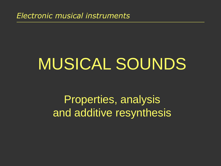*Electronic musical instruments*

# MUSICAL SOUNDS

Properties, analysis and additive resynthesis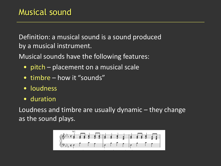Definition: a musical sound is a sound produced by a musical instrument.

Musical sounds have the following features:

- pitch placement on a musical scale
- timbre how it "sounds"
- loudness
- duration

Loudness and timbre are usually dynamic – they change as the sound plays.

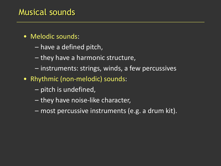### Musical sounds

- Melodic sounds:
	- have a defined pitch,
	- they have a harmonic structure,
	- instruments: strings, winds, a few percussives
- Rhythmic (non-melodic) sounds:
	- pitch is undefined,
	- they have noise-like character,
	- most percussive instruments (e.g. a drum kit).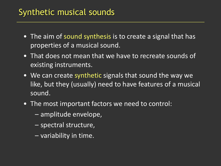### Synthetic musical sounds

- The aim of sound synthesis is to create a signal that has properties of a musical sound.
- That does not mean that we have to recreate sounds of existing instruments.
- We can create synthetic signals that sound the way we like, but they (usually) need to have features of a musical sound.
- The most important factors we need to control:
	- amplitude envelope,
	- spectral structure,
	- variability in time.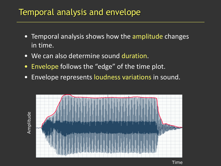### Temporal analysis and envelope

- Temporal analysis shows how the amplitude changes in time.
- We can also determine sound duration.
- Envelope follows the "edge" of the time plot.
- Envelope represents loudness variations in sound.



Time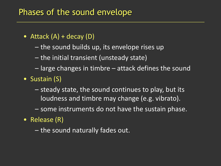### Phases of the sound envelope

- Attack  $(A)$  + decay  $(D)$ 
	- the sound builds up, its envelope rises up
	- the initial transient (unsteady state)
	- large changes in timbre attack defines the sound
- Sustain (S)
	- steady state, the sound continues to play, but its loudness and timbre may change (e.g. vibrato).
	- some instruments do not have the sustain phase.
- Release (R)
	- the sound naturally fades out.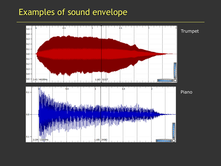### Examples of sound envelope

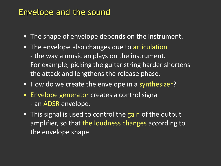### Envelope and the sound

- The shape of envelope depends on the instrument.
- The envelope also changes due to articulation - the way a musician plays on the instrument. For example, picking the guitar string harder shortens the attack and lengthens the release phase.
- How do we create the envelope in a synthesizer?
- Envelope generator creates a control signal - an ADSR envelope.
- This signal is used to control the gain of the output amplifier, so that the loudness changes according to the envelope shape.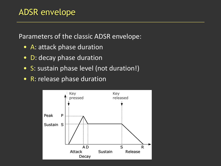Parameters of the classic ADSR envelope:

- A: attack phase duration
- D: decay phase duration
- S: sustain phase level (not duration!)
- **R: release phase duration**

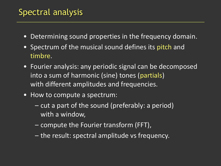# Spectral analysis

- Determining sound properties in the frequency domain.
- Spectrum of the musical sound defines its pitch and timbre.
- Fourier analysis: any periodic signal can be decomposed into a sum of harmonic (sine) tones (partials) with different amplitudes and frequencies.
- How to compute a spectrum:
	- cut a part of the sound (preferably: a period) with a window,
	- compute the Fourier transform (FFT),
	- the result: spectral amplitude vs frequency.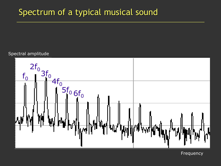### Spectrum of a typical musical sound

#### Spectral amplitude



Frequency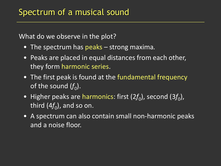What do we observe in the plot?

- The spectrum has peaks strong maxima*.*
- Peaks are placed in equal distances from each other, they form harmonic series.
- The first peak is found at the fundamental frequency of the sound  $(f_{0}).$
- Higher peaks are harmonics: first (2f<sub>0</sub>), second (3f<sub>0</sub>), third (4 $f_{\rm 0}$ ), and so on.
- A spectrum can also contain small non-harmonic peaks and a noise floor.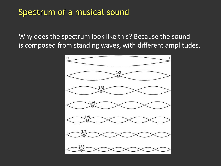Why does the spectrum look like this? Because the sound is composed from standing waves, with different amplitudes.

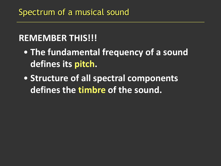# **REMEMBER THIS!!!**

- **The fundamental frequency of a sound defines its pitch.**
- **Structure of all spectral components defines the timbre of the sound.**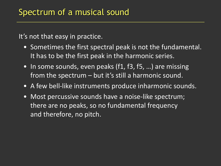It's not that easy in practice.

- Sometimes the first spectral peak is not the fundamental. It has to be the first peak in the harmonic series.
- In some sounds, even peaks (f1, f3, f5, ...) are missing from the spectrum – but it's still a harmonic sound.
- A few bell-like instruments produce inharmonic sounds.
- Most percussive sounds have a noise-like spectrum; there are no peaks, so no fundamental frequency and therefore, no pitch.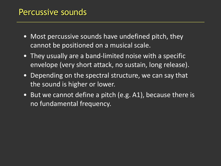### Percussive sounds

- Most percussive sounds have undefined pitch, they cannot be positioned on a musical scale.
- They usually are a band-limited noise with a specific envelope (very short attack, no sustain, long release).
- Depending on the spectral structure, we can say that the sound is higher or lower.
- But we cannot define a pitch (e.g. A1), because there is no fundamental frequency.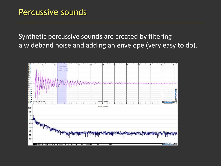#### Synthetic percussive sounds are created by filtering a wideband noise and adding an envelope (very easy to do).

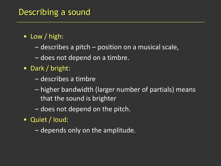### Describing a sound

- Low / high:
	- describes a pitch position on a musical scale,
	- does not depend on a timbre.
- Dark / bright:
	- describes a timbre
	- higher bandwidth (larger number of partials) means that the sound is brighter
	- does not depend on the pitch.
- Quiet / loud:
	- depends only on the amplitude.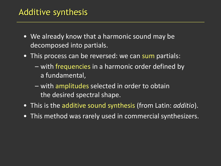### Additive synthesis

- We already know that a harmonic sound may be decomposed into partials.
- This process can be reversed: we can sum partials:
	- with frequencies in a harmonic order defined by a fundamental,
	- with amplitudes selected in order to obtain the desired spectral shape.
- This is the additive sound synthesis (from Latin: *additio*).
- This method was rarely used in commercial synthesizers.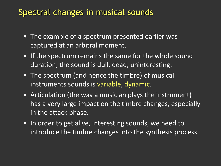### Spectral changes in musical sounds

- The example of a spectrum presented earlier was captured at an arbitral moment.
- If the spectrum remains the same for the whole sound duration, the sound is dull, dead, uninteresting.
- The spectrum (and hence the timbre) of musical instruments sounds is variable, dynamic.
- Articulation (the way a musician plays the instrument) has a very large impact on the timbre changes, especially in the attack phase.
- In order to get alive, interesting sounds, we need to introduce the timbre changes into the synthesis process.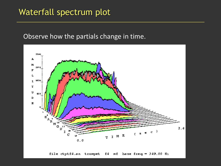### Waterfall spectrum plot

#### Observe how the partials change in time.



file ctptf4.an trumpet f4 mf base freq = 349.00 Hz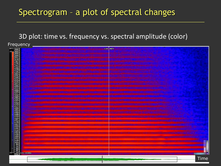### Spectrogram – a plot of spectral changes

#### 3D plot: time vs. frequency vs. spectral amplitude (color)

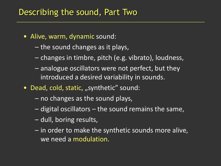### Describing the sound, Part Two

- Alive, warm, dynamic sound:
	- the sound changes as it plays,
	- changes in timbre, pitch (e.g. vibrato), loudness,
	- analogue oscillators were not perfect, but they introduced a desired variability in sounds.
- Dead, cold, static, "synthetic" sound:
	- no changes as the sound plays,
	- digital oscillators the sound remains the same,
	- dull, boring results,
	- in order to make the synthetic sounds more alive, we need a modulation.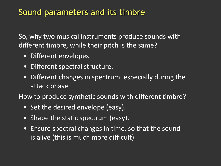So, why two musical instruments produce sounds with different timbre, while their pitch is the same?

- Different envelopes.
- Different spectral structure.
- Different changes in spectrum, especially during the attack phase.

How to produce synthetic sounds with different timbre?

- Set the desired envelope (easy).
- Shape the static spectrum (easy).
- Ensure spectral changes in time, so that the sound is alive (this is much more difficult).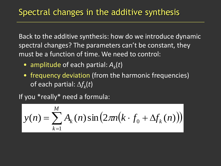Back to the additive synthesis: how do we introduce dynamic spectral changes? The parameters can't be constant, they must be a function of time. We need to control:

- amplitude of each partial: *A<sup>k</sup>* (*t*)
- frequency deviation (from the harmonic frequencies) of each partial:  $\Delta f_k(t)$

If you \*really\* need a formula:

$$
y(n) = \sum_{k=1}^{M} A_k(n) \sin(2\pi n (k \cdot f_0 + \Delta f_k(n)))
$$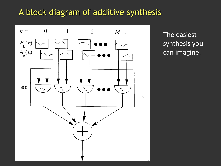### A block diagram of additive synthesis



The easiest synthesis you can imagine.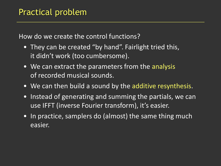How do we create the control functions?

- They can be created "by hand". Fairlight tried this, it didn't work (too cumbersome).
- We can extract the parameters from the analysis of recorded musical sounds.
- We can then build a sound by the additive resynthesis.
- Instead of generating and summing the partials, we can use IFFT (inverse Fourier transform), it's easier.
- In practice, samplers do (almost) the same thing much easier.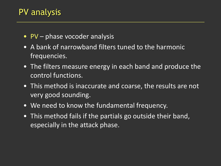### PV analysis

- PV phase vocoder analysis
- A bank of narrowband filters tuned to the harmonic frequencies.
- The filters measure energy in each band and produce the control functions.
- This method is inaccurate and coarse, the results are not very good sounding.
- We need to know the fundamental frequency.
- This method fails if the partials go outside their band, especially in the attack phase.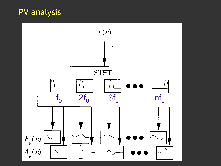# PV analysis

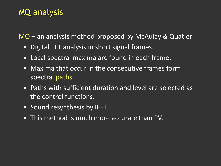MQ – an analysis method proposed by McAulay & Quatieri

- Digital FFT analysis in short signal frames.
- Local spectral maxima are found in each frame.
- Maxima that occur in the consecutive frames form spectral paths.
- Paths with sufficient duration and level are selected as the control functions.
- Sound resynthesis by IFFT.
- This method is much more accurate than PV.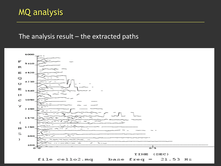# MQ analysis

#### The analysis result  $-$  the extracted paths

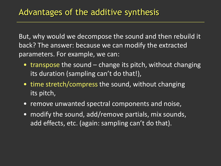But, why would we decompose the sound and then rebuild it back? The answer: because we can modify the extracted parameters. For example, we can:

- transpose the sound change its pitch, without changing its duration (sampling can't do that!),
- time stretch/compress the sound, without changing its pitch,
- remove unwanted spectral components and noise,
- modify the sound, add/remove partials, mix sounds, add effects, etc. (again: sampling can't do that).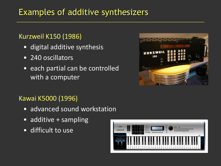# Examples of additive synthesizers

#### Kurzweil K150 (1986)

- digital additive synthesis
- 240 oscillators
- each partial can be controlled with a computer



#### Kawai K5000 (1996)

- advanced sound workstation
- additive + sampling
- difficult to use

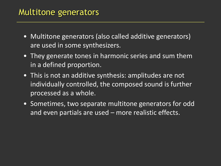### Multitone generators

- Multitone generators (also called additive generators) are used in some synthesizers.
- They generate tones in harmonic series and sum them in a defined proportion.
- This is not an additive synthesis: amplitudes are not individually controlled, the composed sound is further processed as a whole.
- Sometimes, two separate multitone generators for odd and even partials are used – more realistic effects.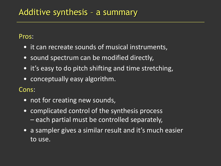Pros:

- it can recreate sounds of musical instruments,
- sound spectrum can be modified directly,
- it's easy to do pitch shifting and time stretching,
- conceptually easy algorithm.

Cons:

- not for creating new sounds,
- complicated control of the synthesis process – each partial must be controlled separately,
- a sampler gives a similar result and it's much easier to use.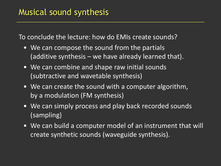To conclude the lecture: how do EMIs create sounds?

- We can compose the sound from the partials (additive synthesis – we have already learned that).
- We can combine and shape raw initial sounds (subtractive and wavetable synthesis)
- We can create the sound with a computer algorithm, by a modulation (FM synthesis)
- We can simply process and play back recorded sounds (sampling)
- We can build a computer model of an instrument that will create synthetic sounds (waveguide synthesis).